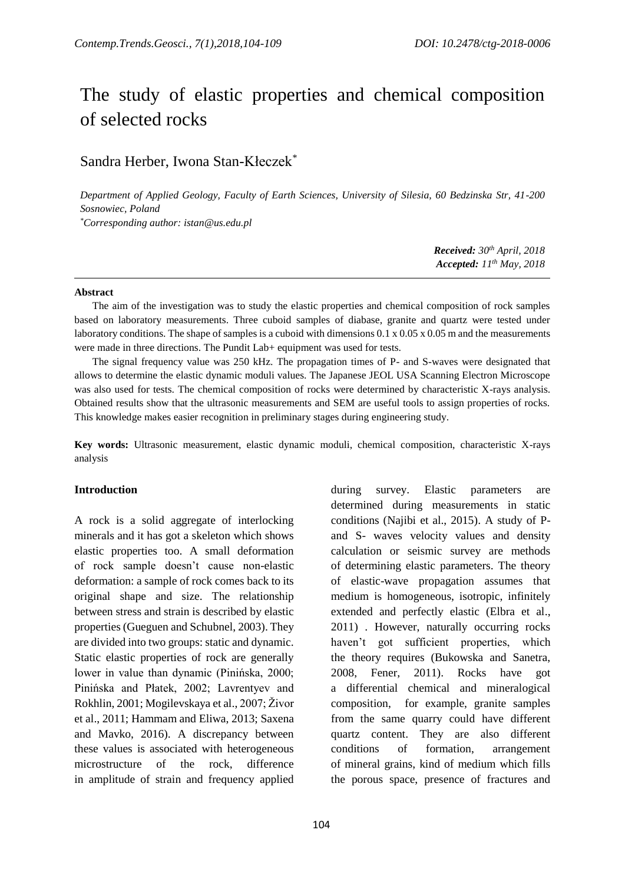# The study of elastic properties and chemical composition of selected rocks

## Sandra Herber, Iwona Stan-Kłeczek\*

*Department of Applied Geology, Faculty of Earth Sciences, University of Silesia, 60 Bedzinska Str, 41-200 Sosnowiec, Poland*

*\*Corresponding author: istan@us.edu.pl*

*Received: 30th April, 2018 Accepted: 11 th May, 2018*

#### **Abstract**

The aim of the investigation was to study the elastic properties and chemical composition of rock samples based on laboratory measurements. Three cuboid samples of diabase, granite and quartz were tested under laboratory conditions. The shape of samples is a cuboid with dimensions 0.1 x 0.05 x 0.05 m and the measurements were made in three directions. The Pundit Lab+ equipment was used for tests.

The signal frequency value was 250 kHz. The propagation times of P- and S-waves were designated that allows to determine the elastic dynamic moduli values. The Japanese JEOL USA Scanning Electron Microscope was also used for tests. The chemical composition of rocks were determined by characteristic X-rays analysis. Obtained results show that the ultrasonic measurements and SEM are useful tools to assign properties of rocks. This knowledge makes easier recognition in preliminary stages during engineering study.

**Key words:** Ultrasonic measurement, elastic dynamic moduli, chemical composition, characteristic X-rays analysis

## **Introduction**

A rock is a solid aggregate of interlocking minerals and it has got a skeleton which shows elastic properties too. A small deformation of rock sample doesn't cause non-elastic deformation: a sample of rock comes back to its original shape and size. The relationship between stress and strain is described by elastic properties (Gueguen and Schubnel, 2003). They are divided into two groups: static and dynamic. Static elastic properties of rock are generally lower in value than dynamic (Pinińska, 2000; Pinińska and Płatek, 2002; Lavrentyev and Rokhlin, 2001; Mogilevskaya et al., 2007; Živor et al., 2011; Hammam and Eliwa, 2013; Saxena and Mavko, 2016). A discrepancy between these values is associated with heterogeneous microstructure of the rock, difference in amplitude of strain and frequency applied

during survey. Elastic parameters are determined during measurements in static conditions (Najibi et al., 2015). A study of Pand S- waves velocity values and density calculation or seismic survey are methods of determining elastic parameters. The theory of elastic-wave propagation assumes that medium is homogeneous, isotropic, infinitely extended and perfectly elastic (Elbra et al., 2011) . However, naturally occurring rocks haven't got sufficient properties, which the theory requires (Bukowska and Sanetra, 2008, Fener, 2011). Rocks have got a differential chemical and mineralogical composition, for example, granite samples from the same quarry could have different quartz content. They are also different conditions of formation, arrangement of mineral grains, kind of medium which fills the porous space, presence of fractures and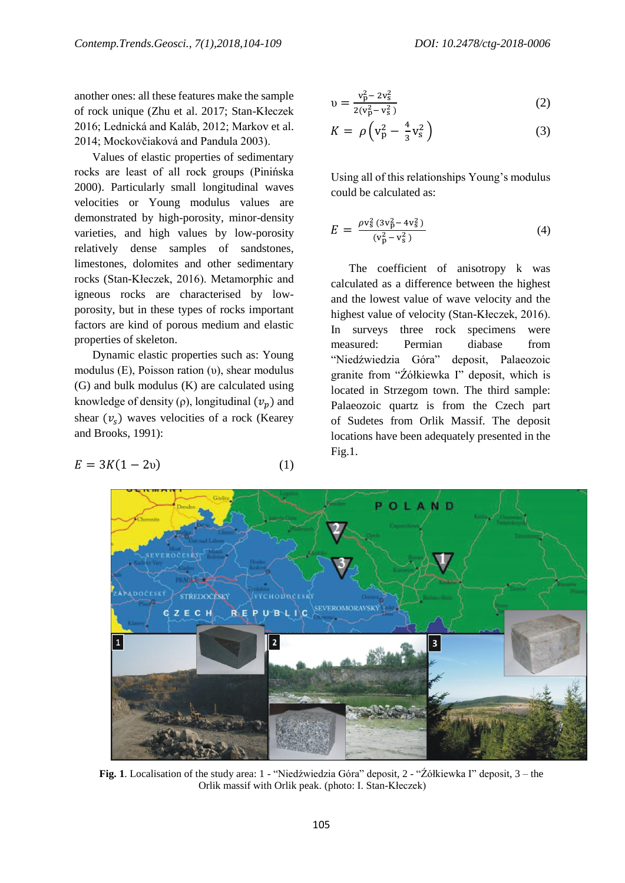another ones: all these features make the sample of rock unique (Zhu et al. 2017; Stan-Kłeczek 2016; Lednická and Kaláb, 2012; Markov et al. 2014; Mockovčiaková and Pandula 2003).

Values of elastic properties of sedimentary rocks are least of all rock groups (Pinińska 2000). Particularly small longitudinal waves velocities or Young modulus values are demonstrated by high-porosity, minor-density varieties, and high values by low-porosity relatively dense samples of sandstones, limestones, dolomites and other sedimentary rocks (Stan-Kłeczek, 2016). Metamorphic and igneous rocks are characterised by lowporosity, but in these types of rocks important factors are kind of porous medium and elastic properties of skeleton.

Dynamic elastic properties such as: Young modulus (E), Poisson ration (υ), shear modulus (G) and bulk modulus (K) are calculated using knowledge of density (ρ), longitudinal  $(v_n)$  and shear  $(v<sub>s</sub>)$  waves velocities of a rock (Kearey and Brooks, 1991):

$$
E = 3K(1 - 2v) \tag{1}
$$

$$
v = \frac{v_p^2 - 2v_s^2}{2(v_p^2 - v_s^2)}
$$
 (2)

$$
K = \rho \left( v_p^2 - \frac{4}{3} v_s^2 \right) \tag{3}
$$

Using all of this relationships Young's modulus could be calculated as:

$$
E = \frac{\rho v_s^2 (3v_p^2 - 4v_s^2)}{(v_p^2 - v_s^2)}
$$
(4)

The coefficient of anisotropy k was calculated as a difference between the highest and the lowest value of wave velocity and the highest value of velocity (Stan-Kłeczek, 2016). In surveys three rock specimens were measured: Permian diabase from "Niedźwiedzia Góra" deposit, Palaeozoic granite from "Źółkiewka I" deposit, which is located in Strzegom town. The third sample: Palaeozoic quartz is from the Czech part of Sudetes from Orlik Massif. The deposit locations have been adequately presented in the Fig.1.



**Fig. 1**. Localisation of the study area: 1 - "Niedźwiedzia Góra" deposit, 2 - "Źółkiewka I" deposit, 3 – the Orlik massif with Orlik peak. (photo: I. Stan-Kłeczek)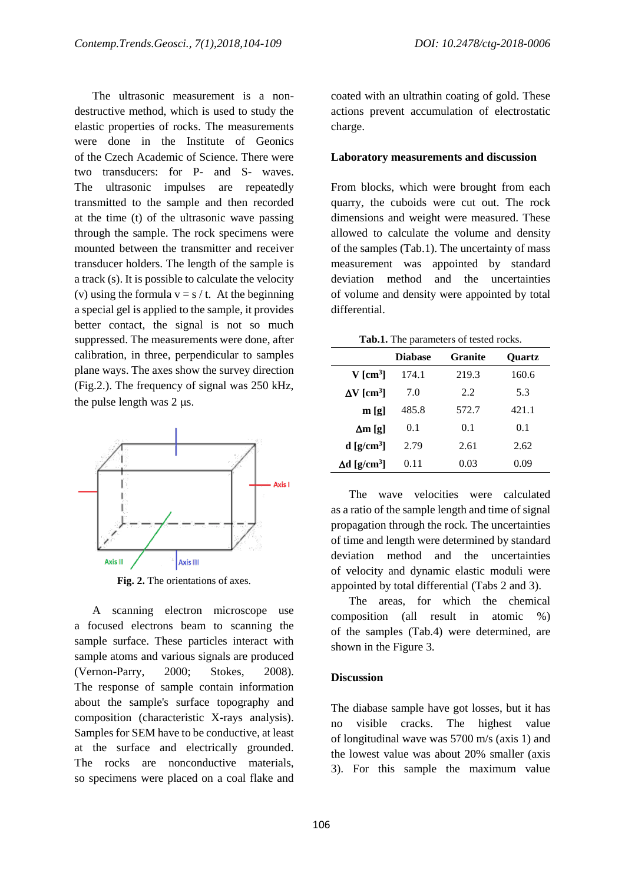The ultrasonic measurement is a nondestructive method, which is used to study the elastic properties of rocks. The measurements were done in the Institute of Geonics of the Czech Academic of Science. There were two transducers: for P- and S- waves. The ultrasonic impulses are repeatedly transmitted to the sample and then recorded at the time (t) of the ultrasonic wave passing through the sample. The rock specimens were mounted between the transmitter and receiver transducer holders. The length of the sample is a track (s). It is possible to calculate the velocity (v) using the formula  $v = s / t$ . At the beginning a special gel is applied to the sample, it provides better contact, the signal is not so much suppressed. The measurements were done, after calibration, in three, perpendicular to samples plane ways. The axes show the survey direction (Fig.2.). The frequency of signal was 250 kHz, the pulse length was  $2 \mu s$ .



Fig. 2. The orientations of axes.

A scanning electron microscope use a focused electrons beam to scanning the sample surface. These particles interact with sample atoms and various signals are produced (Vernon-Parry, 2000; Stokes, 2008). The response of sample contain information about the sample's surface topography and composition (characteristic X-rays analysis). Samples for SEM have to be conductive, at least at the surface and electrically grounded. The rocks are nonconductive materials, so specimens were placed on a coal flake and coated with an ultrathin coating of gold. These actions prevent accumulation of electrostatic charge.

#### **Laboratory measurements and discussion**

From blocks, which were brought from each quarry, the cuboids were cut out. The rock dimensions and weight were measured. These allowed to calculate the volume and density of the samples (Tab.1). The uncertainty of mass measurement was appointed by standard deviation method and the uncertainties of volume and density were appointed by total differential.

**Tab.1.** The parameters of tested rocks.

|                                 | <b>Diabase</b> | <b>Granite</b> | <b>Ouartz</b> |
|---------------------------------|----------------|----------------|---------------|
| $V$ [cm <sup>3</sup> ]          | 174.1          | 219.3          | 160.6         |
| $\Delta V$ [cm <sup>3</sup> ]   | 7.0            | 2.2            | 5.3           |
| m[g]                            | 485.8          | 572.7          | 421.1         |
| $\Delta m$ [g]                  | 0.1            | 0.1            | 0.1           |
| $d$ [g/cm <sup>3</sup> ]        | 2.79           | 2.61           | 2.62          |
| $\Delta d$ [g/cm <sup>3</sup> ] | 0.11           | 0.03           | 0.09          |

The wave velocities were calculated as a ratio of the sample length and time of signal propagation through the rock. The uncertainties of time and length were determined by standard deviation method and the uncertainties of velocity and dynamic elastic moduli were appointed by total differential (Tabs 2 and 3).

The areas, for which the chemical composition (all result in atomic %) of the samples (Tab.4) were determined, are shown in the Figure 3.

#### **Discussion**

The diabase sample have got losses, but it has no visible cracks. The highest value of longitudinal wave was 5700 m/s (axis 1) and the lowest value was about 20% smaller (axis 3). For this sample the maximum value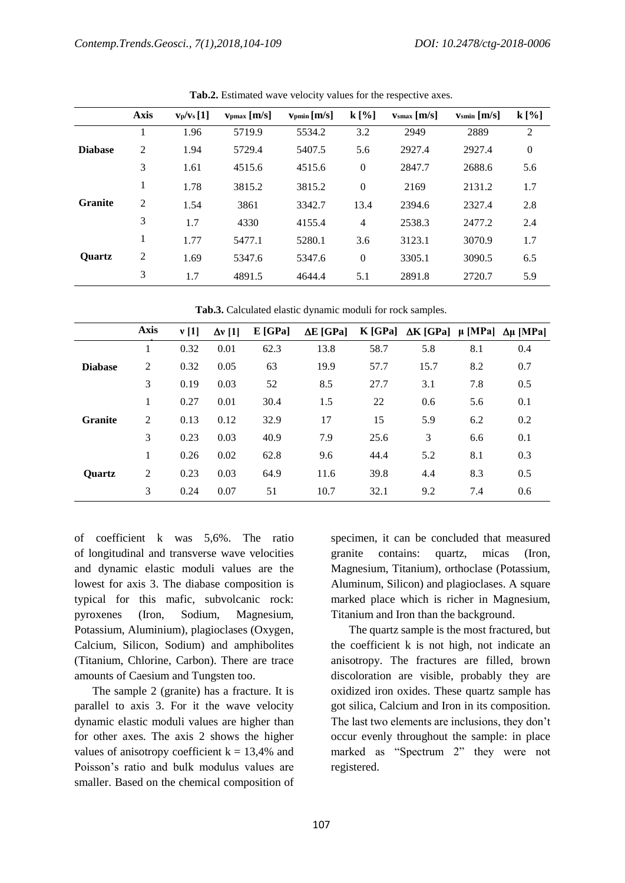|                | <b>Axis</b>    | $v_p/v_s[1]$ | $v_{\rm pmax}$ [m/s] | $v_{pmin}[m/s]$ | $k[\%]$        | $v_{\rm smax}$ [m/s] | $v_{\rm smin}$ [m/s] | $k[\%]$        |
|----------------|----------------|--------------|----------------------|-----------------|----------------|----------------------|----------------------|----------------|
|                | 1              | 1.96         | 5719.9               | 5534.2          | 3.2            | 2949                 | 2889                 | 2              |
| <b>Diabase</b> | $\overline{2}$ | 1.94         | 5729.4               | 5407.5          | 5.6            | 2927.4               | 2927.4               | $\overline{0}$ |
|                | 3              | 1.61         | 4515.6               | 4515.6          | $\mathbf{0}$   | 2847.7               | 2688.6               | 5.6            |
|                | 1              | 1.78         | 3815.2               | 3815.2          | $\mathbf{0}$   | 2169                 | 2131.2               | 1.7            |
| <b>Granite</b> | $\overline{2}$ | 1.54         | 3861                 | 3342.7          | 13.4           | 2394.6               | 2327.4               | 2.8            |
|                | 3              | 1.7          | 4330                 | 4155.4          | $\overline{4}$ | 2538.3               | 2477.2               | 2.4            |
|                | 1              | 1.77         | 5477.1               | 5280.1          | 3.6            | 3123.1               | 3070.9               | 1.7            |
| <b>Ouartz</b>  | 2              | 1.69         | 5347.6               | 5347.6          | $\mathbf{0}$   | 3305.1               | 3090.5               | 6.5            |
|                | 3              | 1.7          | 4891.5               | 4644.4          | 5.1            | 2891.8               | 2720.7               | 5.9            |

**Tab.2.** Estimated wave velocity values for the respective axes.

**Tab.3.** Calculated elastic dynamic moduli for rock samples.

|                | <b>Axis</b>    | v[1] | $\Delta v$ [1] | $E$ [GPa] | $\Delta E$ [GPa] |      | K [GPa] $\Delta$ K [GPa] $\mu$ [MPa] $\Delta$ $\mu$ [MPa] |     |     |
|----------------|----------------|------|----------------|-----------|------------------|------|-----------------------------------------------------------|-----|-----|
|                | 1              | 0.32 | 0.01           | 62.3      | 13.8             | 58.7 | 5.8                                                       | 8.1 | 0.4 |
| <b>Diabase</b> | $\overline{2}$ | 0.32 | 0.05           | 63        | 19.9             | 57.7 | 15.7                                                      | 8.2 | 0.7 |
|                | 3              | 0.19 | 0.03           | 52        | 8.5              | 27.7 | 3.1                                                       | 7.8 | 0.5 |
|                | 1              | 0.27 | 0.01           | 30.4      | 1.5              | 22   | 0.6                                                       | 5.6 | 0.1 |
| <b>Granite</b> | $\overline{2}$ | 0.13 | 0.12           | 32.9      | 17               | 15   | 5.9                                                       | 6.2 | 0.2 |
|                | 3              | 0.23 | 0.03           | 40.9      | 7.9              | 25.6 | 3                                                         | 6.6 | 0.1 |
|                | 1              | 0.26 | 0.02           | 62.8      | 9.6              | 44.4 | 5.2                                                       | 8.1 | 0.3 |
| <b>Ouartz</b>  | 2              | 0.23 | 0.03           | 64.9      | 11.6             | 39.8 | 4.4                                                       | 8.3 | 0.5 |
|                | 3              | 0.24 | 0.07           | 51        | 10.7             | 32.1 | 9.2                                                       | 7.4 | 0.6 |

of coefficient k was 5,6%. The ratio of longitudinal and transverse wave velocities and dynamic elastic moduli values are the lowest for axis 3. The diabase composition is typical for this mafic, subvolcanic rock: pyroxenes (Iron, Sodium, Magnesium, Potassium, Aluminium), plagioclases (Oxygen, Calcium, Silicon, Sodium) and amphibolites (Titanium, Chlorine, Carbon). There are trace amounts of Caesium and Tungsten too.

The sample 2 (granite) has a fracture. It is parallel to axis 3. For it the wave velocity dynamic elastic moduli values are higher than for other axes. The axis 2 shows the higher values of anisotropy coefficient  $k = 13,4%$  and Poisson's ratio and bulk modulus values are smaller. Based on the chemical composition of specimen, it can be concluded that measured granite contains: quartz, micas (Iron, Magnesium, Titanium), orthoclase (Potassium, Aluminum, Silicon) and plagioclases. A square marked place which is richer in Magnesium, Titanium and Iron than the background.

The quartz sample is the most fractured, but the coefficient k is not high, not indicate an anisotropy. The fractures are filled, brown discoloration are visible, probably they are oxidized iron oxides. These quartz sample has got silica, Calcium and Iron in its composition. The last two elements are inclusions, they don't occur evenly throughout the sample: in place marked as "Spectrum 2" they were not registered.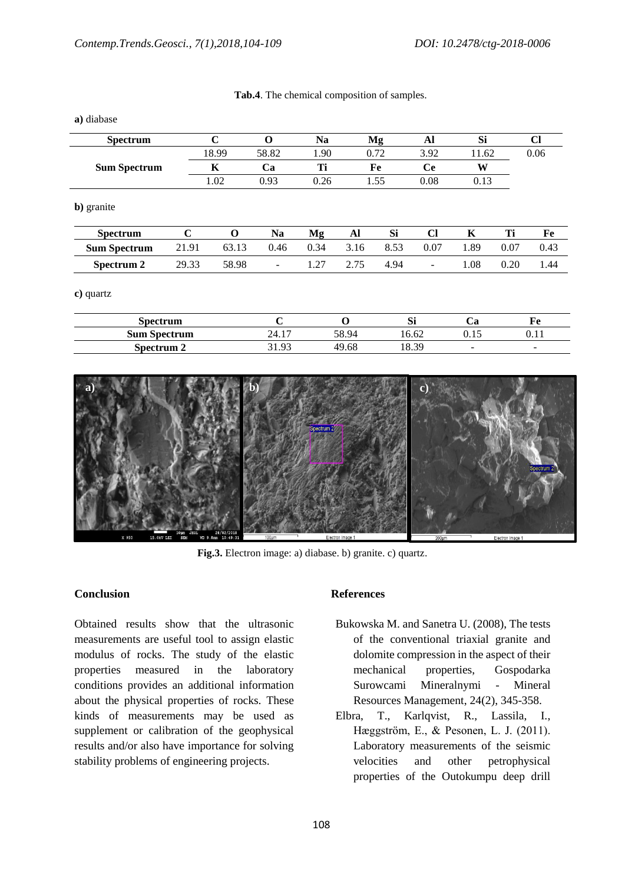|  | Tab.4. The chemical composition of samples. |  |
|--|---------------------------------------------|--|
|  |                                             |  |

| <b>Spectrum</b>     |       | $\mathbf C$ | $\Omega$                 | <b>Na</b> |      | Mg   | Al                       | Si    |      | $CI$ |  |
|---------------------|-------|-------------|--------------------------|-----------|------|------|--------------------------|-------|------|------|--|
|                     |       | 18.99       | 58.82                    | 1.90      |      | 0.72 | 3.92                     | 11.62 |      | 0.06 |  |
| <b>Sum Spectrum</b> | K     |             | Ca                       | Ti        | Fe   |      | <b>Ce</b>                | W     |      |      |  |
|                     |       | 1.02        | 0.93                     | 0.26      |      | 1.55 | 0.08                     | 0.13  |      |      |  |
| b) granite          |       |             |                          |           |      |      |                          |       |      |      |  |
| <b>Spectrum</b>     | C     | $\Omega$    | <b>Na</b>                | Mg        | Al   | Si   | <b>Cl</b>                | K     | Ti   | Fe   |  |
| <b>Sum Spectrum</b> | 21.91 | 63.13       | 0.46                     | 0.34      | 3.16 | 8.53 | 0.07                     | 1.89  | 0.07 | 0.43 |  |
| Spectrum 2          | 29.33 | 58.98       | $\overline{\phantom{a}}$ | 1.27      | 2.75 | 4.94 | $\overline{\phantom{a}}$ | 1.08  | 0.20 | 1.44 |  |
| c) quartz           |       |             |                          |           |      |      |                          |       |      |      |  |

| spectrum            |             |       | $\sim$<br><u>ני ג</u> | ໍດ<br>C |                               |
|---------------------|-------------|-------|-----------------------|---------|-------------------------------|
| <b>Sum Spectrum</b> | 24.1<br>. – | 58 Q4 | $\sim$<br>. Б.        | v.      | $\mathbf{v} \cdot \mathbf{r}$ |
| Spectrum 2          | $\Omega$    | .oc   | 18.39                 | $\sim$  | $\overline{\phantom{a}}$      |



**Fig.3.** Electron image: a) diabase. b) granite. c) quartz.

## **Conclusion**

Obtained results show that the ultrasonic measurements are useful tool to assign elastic modulus of rocks. The study of the elastic properties measured in the laboratory conditions provides an additional information about the physical properties of rocks. These kinds of measurements may be used as supplement or calibration of the geophysical results and/or also have importance for solving stability problems of engineering projects.

## **References**

- Bukowska M. and Sanetra U. (2008), The tests of the conventional triaxial granite and dolomite compression in the aspect of their mechanical properties, Gospodarka Surowcami Mineralnymi - Mineral Resources Management, 24(2), 345-358.
- Elbra, T., Karlqvist, R., Lassila, I., Hæggström, E., & Pesonen, L. J. (2011). Laboratory measurements of the seismic velocities and other petrophysical properties of the Outokumpu deep drill